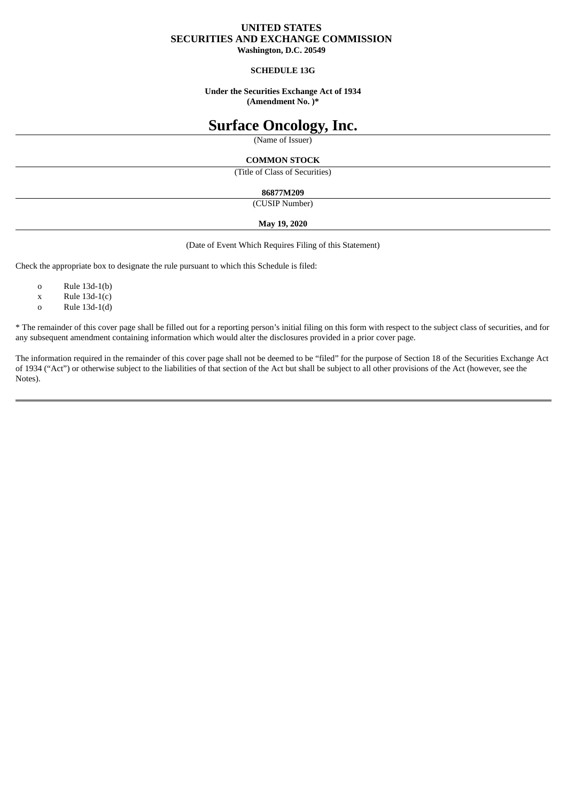# **UNITED STATES SECURITIES AND EXCHANGE COMMISSION**

**Washington, D.C. 20549**

## **SCHEDULE 13G**

## **Under the Securities Exchange Act of 1934 (Amendment No. )\***

# **Surface Oncology, Inc.**

(Name of Issuer)

## **COMMON STOCK**

(Title of Class of Securities)

## **86877M209**

(CUSIP Number)

## **May 19, 2020**

(Date of Event Which Requires Filing of this Statement)

Check the appropriate box to designate the rule pursuant to which this Schedule is filed:

- o Rule 13d-1(b)
- $x$  Rule 13d-1(c)
- o Rule 13d-1(d)

\* The remainder of this cover page shall be filled out for a reporting person's initial filing on this form with respect to the subject class of securities, and for any subsequent amendment containing information which would alter the disclosures provided in a prior cover page.

The information required in the remainder of this cover page shall not be deemed to be "filed" for the purpose of Section 18 of the Securities Exchange Act of 1934 ("Act") or otherwise subject to the liabilities of that section of the Act but shall be subject to all other provisions of the Act (however, see the Notes).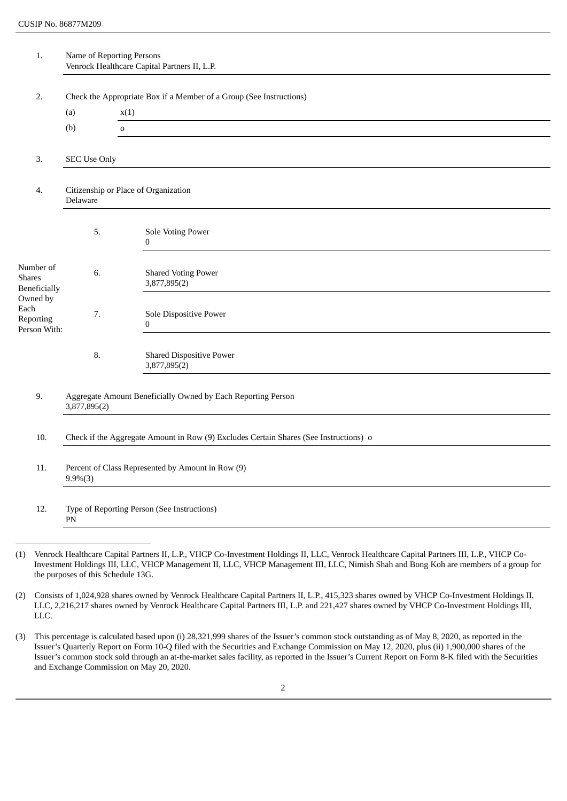| (a)<br>(b)                                                             | Check the Appropriate Box if a Member of a Group (See Instructions)<br>x(1)<br>$\mathsf{o}\,$ |
|------------------------------------------------------------------------|-----------------------------------------------------------------------------------------------|
|                                                                        |                                                                                               |
|                                                                        |                                                                                               |
|                                                                        |                                                                                               |
|                                                                        |                                                                                               |
|                                                                        |                                                                                               |
| Delaware                                                               | Citizenship or Place of Organization                                                          |
| 5.                                                                     | Sole Voting Power<br>$\bf{0}$                                                                 |
| 6.                                                                     | <b>Shared Voting Power</b><br>3,877,895(2)                                                    |
| 7.                                                                     | Sole Dispositive Power<br>$\bf{0}$                                                            |
| 8.                                                                     | <b>Shared Dispositive Power</b><br>3,877,895(2)                                               |
| 3,877,895(2)                                                           | Aggregate Amount Beneficially Owned by Each Reporting Person                                  |
|                                                                        | Check if the Aggregate Amount in Row (9) Excludes Certain Shares (See Instructions) o         |
| Percent of Class Represented by Amount in Row (9)<br>11.<br>$9.9\%(3)$ |                                                                                               |
|                                                                        | Type of Reporting Person (See Instructions)                                                   |
|                                                                        | <b>SEC Use Only</b><br>PN                                                                     |

(1) Venrock Healthcare Capital Partners II, L.P., VHCP Co-Investment Holdings II, LLC, Venrock Healthcare Capital Partners III, L.P., VHCP Co-Investment Holdings III, LLC, VHCP Management II, LLC, VHCP Management III, LLC, Nimish Shah and Bong Koh are members of a group for the purposes of this Schedule 13G.

(2) Consists of 1,024,928 shares owned by Venrock Healthcare Capital Partners II, L.P., 415,323 shares owned by VHCP Co-Investment Holdings II, LLC, 2,216,217 shares owned by Venrock Healthcare Capital Partners III, L.P. and 221,427 shares owned by VHCP Co-Investment Holdings III, LLC.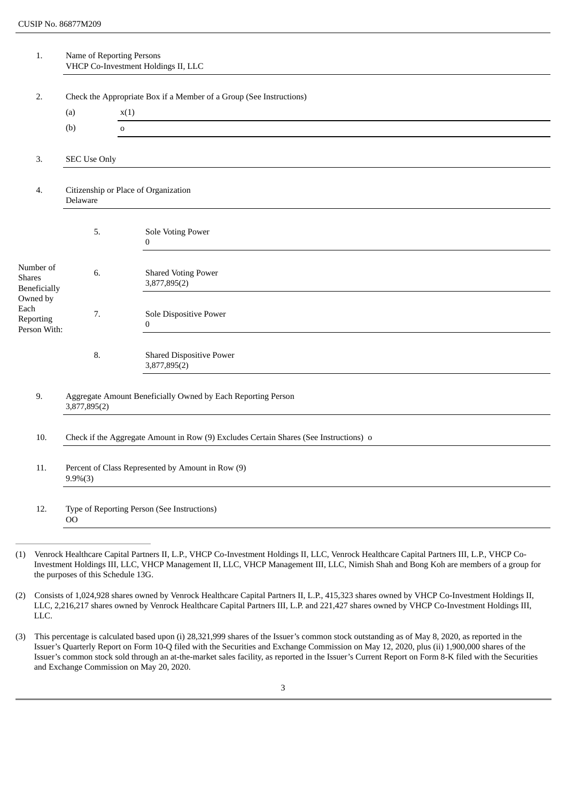| 1.                                            |                                                                                       | Name of Reporting Persons<br>VHCP Co-Investment Holdings II, LLC    |
|-----------------------------------------------|---------------------------------------------------------------------------------------|---------------------------------------------------------------------|
| 2.                                            |                                                                                       | Check the Appropriate Box if a Member of a Group (See Instructions) |
|                                               | (a)                                                                                   | x(1)                                                                |
|                                               | (b)                                                                                   | $\mathsf{o}\,$                                                      |
|                                               |                                                                                       |                                                                     |
| 3.                                            | <b>SEC Use Only</b>                                                                   |                                                                     |
| 4.                                            | Delaware                                                                              | Citizenship or Place of Organization                                |
|                                               | 5.                                                                                    | Sole Voting Power<br>$\bf{0}$                                       |
| Number of<br>Shares<br><b>Beneficially</b>    | 6.                                                                                    | <b>Shared Voting Power</b><br>3,877,895(2)                          |
| Owned by<br>Each<br>Reporting<br>Person With: | 7.                                                                                    | Sole Dispositive Power<br>$\bf{0}$                                  |
|                                               | 8.                                                                                    | <b>Shared Dispositive Power</b><br>3,877,895(2)                     |
| 9.                                            | 3,877,895(2)                                                                          | Aggregate Amount Beneficially Owned by Each Reporting Person        |
| 10.                                           | Check if the Aggregate Amount in Row (9) Excludes Certain Shares (See Instructions) o |                                                                     |
| 11.                                           | Percent of Class Represented by Amount in Row (9)<br>$9.9\%(3)$                       |                                                                     |
| 12.                                           | <b>OO</b>                                                                             | Type of Reporting Person (See Instructions)                         |
|                                               |                                                                                       |                                                                     |

(1) Venrock Healthcare Capital Partners II, L.P., VHCP Co-Investment Holdings II, LLC, Venrock Healthcare Capital Partners III, L.P., VHCP Co-Investment Holdings III, LLC, VHCP Management II, LLC, VHCP Management III, LLC, Nimish Shah and Bong Koh are members of a group for the purposes of this Schedule 13G.

(2) Consists of 1,024,928 shares owned by Venrock Healthcare Capital Partners II, L.P., 415,323 shares owned by VHCP Co-Investment Holdings II, LLC, 2,216,217 shares owned by Venrock Healthcare Capital Partners III, L.P. and 221,427 shares owned by VHCP Co-Investment Holdings III, LLC.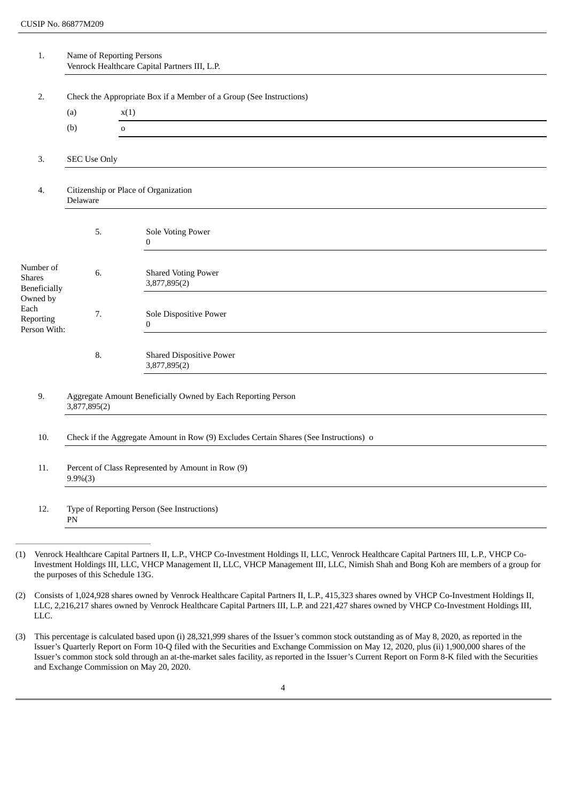| 1.                                            | Name of Reporting Persons<br>Venrock Healthcare Capital Partners III, L.P.            |                                                                     |
|-----------------------------------------------|---------------------------------------------------------------------------------------|---------------------------------------------------------------------|
| 2.                                            |                                                                                       | Check the Appropriate Box if a Member of a Group (See Instructions) |
|                                               | (a)                                                                                   | x(1)                                                                |
|                                               | (b)                                                                                   | $\mathsf{O}\xspace$                                                 |
| 3.                                            | <b>SEC Use Only</b>                                                                   |                                                                     |
| 4.                                            | Citizenship or Place of Organization<br>Delaware                                      |                                                                     |
|                                               | 5.                                                                                    | Sole Voting Power<br>$\boldsymbol{0}$                               |
| Number of<br>Shares<br>Beneficially           | 6.                                                                                    | <b>Shared Voting Power</b><br>3,877,895(2)                          |
| Owned by<br>Each<br>Reporting<br>Person With: | 7.                                                                                    | Sole Dispositive Power<br>$\bf{0}$                                  |
|                                               | 8.                                                                                    | <b>Shared Dispositive Power</b><br>3,877,895(2)                     |
| 9.                                            | Aggregate Amount Beneficially Owned by Each Reporting Person<br>3,877,895(2)          |                                                                     |
| 10.                                           | Check if the Aggregate Amount in Row (9) Excludes Certain Shares (See Instructions) o |                                                                     |
| 11.                                           | Percent of Class Represented by Amount in Row (9)<br>$9.9\%(3)$                       |                                                                     |
| 12.                                           | ${\rm PN}$                                                                            | Type of Reporting Person (See Instructions)                         |
|                                               |                                                                                       |                                                                     |

(1) Venrock Healthcare Capital Partners II, L.P., VHCP Co-Investment Holdings II, LLC, Venrock Healthcare Capital Partners III, L.P., VHCP Co-Investment Holdings III, LLC, VHCP Management II, LLC, VHCP Management III, LLC, Nimish Shah and Bong Koh are members of a group for the purposes of this Schedule 13G.

(2) Consists of 1,024,928 shares owned by Venrock Healthcare Capital Partners II, L.P., 415,323 shares owned by VHCP Co-Investment Holdings II, LLC, 2,216,217 shares owned by Venrock Healthcare Capital Partners III, L.P. and 221,427 shares owned by VHCP Co-Investment Holdings III, LLC.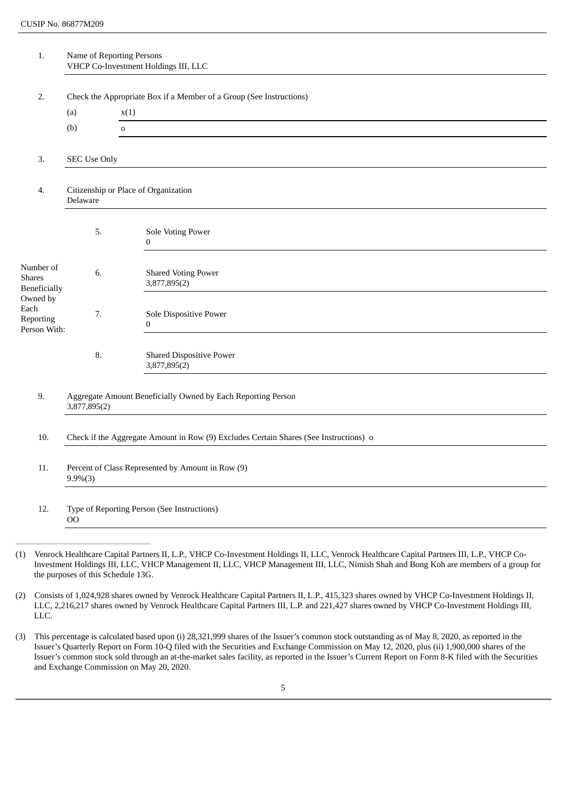| 1.                                                     |                                                                                       | Name of Reporting Persons<br>VHCP Co-Investment Holdings III, LLC   |
|--------------------------------------------------------|---------------------------------------------------------------------------------------|---------------------------------------------------------------------|
|                                                        |                                                                                       | Check the Appropriate Box if a Member of a Group (See Instructions) |
| 2.                                                     | (a)                                                                                   | x(1)                                                                |
|                                                        | (b)                                                                                   | $\mathbf 0$                                                         |
|                                                        |                                                                                       |                                                                     |
| 3.                                                     | <b>SEC Use Only</b>                                                                   |                                                                     |
| Citizenship or Place of Organization<br>4.<br>Delaware |                                                                                       |                                                                     |
|                                                        | 5.                                                                                    | Sole Voting Power<br>$\boldsymbol{0}$                               |
| Number of<br>Shares<br><b>Beneficially</b>             | 6.                                                                                    | <b>Shared Voting Power</b><br>3,877,895(2)                          |
| Owned by<br>Each<br>Reporting<br>Person With:          | 7.                                                                                    | Sole Dispositive Power<br>$\bf{0}$                                  |
|                                                        | 8.                                                                                    | <b>Shared Dispositive Power</b><br>3,877,895(2)                     |
| 9.                                                     | Aggregate Amount Beneficially Owned by Each Reporting Person<br>3,877,895(2)          |                                                                     |
| 10.                                                    | Check if the Aggregate Amount in Row (9) Excludes Certain Shares (See Instructions) o |                                                                     |
| 11.                                                    | Percent of Class Represented by Amount in Row (9)<br>$9.9\%(3)$                       |                                                                     |
| 12.                                                    | $_{\rm OO}$                                                                           | Type of Reporting Person (See Instructions)                         |
|                                                        |                                                                                       |                                                                     |

(1) Venrock Healthcare Capital Partners II, L.P., VHCP Co-Investment Holdings II, LLC, Venrock Healthcare Capital Partners III, L.P., VHCP Co-Investment Holdings III, LLC, VHCP Management II, LLC, VHCP Management III, LLC, Nimish Shah and Bong Koh are members of a group for the purposes of this Schedule 13G.

(2) Consists of 1,024,928 shares owned by Venrock Healthcare Capital Partners II, L.P., 415,323 shares owned by VHCP Co-Investment Holdings II, LLC, 2,216,217 shares owned by Venrock Healthcare Capital Partners III, L.P. and 221,427 shares owned by VHCP Co-Investment Holdings III, LLC.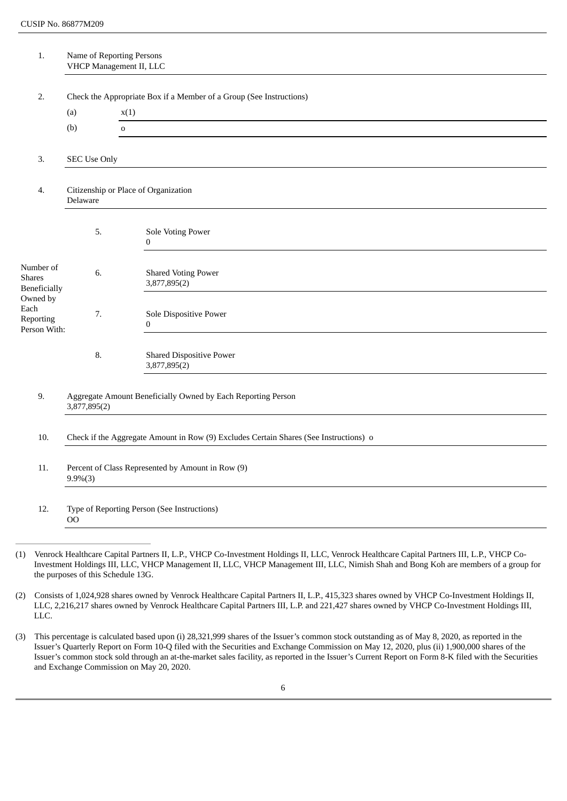| 1.                                                     |                                                                                       | Name of Reporting Persons<br>VHCP Management II, LLC                |
|--------------------------------------------------------|---------------------------------------------------------------------------------------|---------------------------------------------------------------------|
| 2.                                                     |                                                                                       | Check the Appropriate Box if a Member of a Group (See Instructions) |
|                                                        | (a)                                                                                   | x(1)                                                                |
|                                                        | (b)                                                                                   | $\mathbf 0$                                                         |
|                                                        |                                                                                       |                                                                     |
| 3.                                                     | <b>SEC Use Only</b>                                                                   |                                                                     |
| Citizenship or Place of Organization<br>4.<br>Delaware |                                                                                       |                                                                     |
|                                                        | 5.                                                                                    | Sole Voting Power<br>$\bf{0}$                                       |
| Number of<br><b>Shares</b><br>Beneficially             | 6.                                                                                    | <b>Shared Voting Power</b><br>3,877,895(2)                          |
| Owned by<br>Each<br>Reporting<br>Person With:          | 7.                                                                                    | Sole Dispositive Power<br>$\bf{0}$                                  |
|                                                        | 8.                                                                                    | <b>Shared Dispositive Power</b><br>3,877,895(2)                     |
| 9.                                                     | 3,877,895(2)                                                                          | Aggregate Amount Beneficially Owned by Each Reporting Person        |
| 10.                                                    | Check if the Aggregate Amount in Row (9) Excludes Certain Shares (See Instructions) o |                                                                     |
| 11.                                                    | Percent of Class Represented by Amount in Row (9)<br>$9.9\%(3)$                       |                                                                     |
| 12.                                                    | O <sub>O</sub>                                                                        | Type of Reporting Person (See Instructions)                         |
|                                                        |                                                                                       |                                                                     |

- (1) Venrock Healthcare Capital Partners II, L.P., VHCP Co-Investment Holdings II, LLC, Venrock Healthcare Capital Partners III, L.P., VHCP Co-Investment Holdings III, LLC, VHCP Management II, LLC, VHCP Management III, LLC, Nimish Shah and Bong Koh are members of a group for the purposes of this Schedule 13G.
- (2) Consists of 1,024,928 shares owned by Venrock Healthcare Capital Partners II, L.P., 415,323 shares owned by VHCP Co-Investment Holdings II, LLC, 2,216,217 shares owned by Venrock Healthcare Capital Partners III, L.P. and 221,427 shares owned by VHCP Co-Investment Holdings III, LLC.
- (3) This percentage is calculated based upon (i) 28,321,999 shares of the Issuer's common stock outstanding as of May 8, 2020, as reported in the Issuer's Quarterly Report on Form 10-Q filed with the Securities and Exchange Commission on May 12, 2020, plus (ii) 1,900,000 shares of the Issuer's common stock sold through an at-the-market sales facility, as reported in the Issuer's Current Report on Form 8-K filed with the Securities and Exchange Commission on May 20, 2020.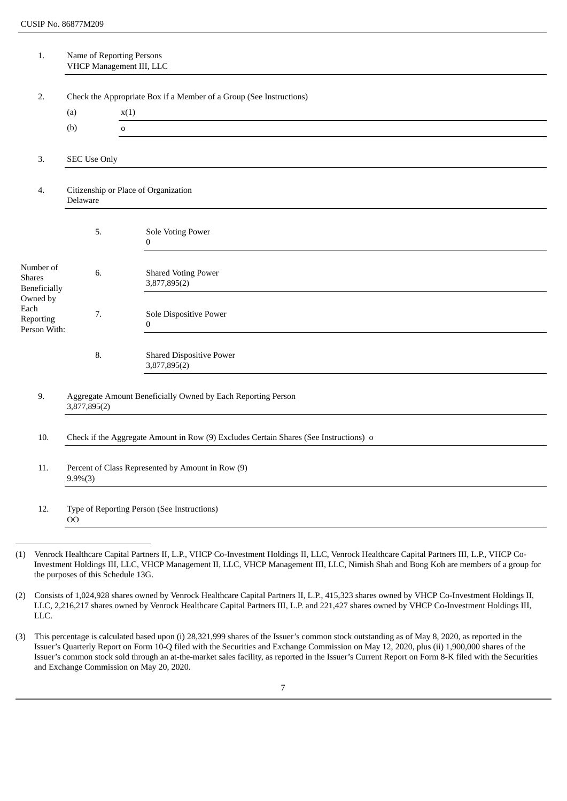| 1.                                                     | Name of Reporting Persons<br>VHCP Management III, LLC                                 |                                                                     |  |  |
|--------------------------------------------------------|---------------------------------------------------------------------------------------|---------------------------------------------------------------------|--|--|
|                                                        |                                                                                       |                                                                     |  |  |
| 2.                                                     |                                                                                       | Check the Appropriate Box if a Member of a Group (See Instructions) |  |  |
|                                                        | (a)<br>(b)                                                                            | x(1)<br>$\mathbf 0$                                                 |  |  |
|                                                        |                                                                                       |                                                                     |  |  |
| 3.                                                     | <b>SEC Use Only</b>                                                                   |                                                                     |  |  |
| Citizenship or Place of Organization<br>4.<br>Delaware |                                                                                       |                                                                     |  |  |
|                                                        | 5.                                                                                    | Sole Voting Power<br>$\bf{0}$                                       |  |  |
| Number of<br><b>Shares</b><br>Beneficially             | 6.                                                                                    | <b>Shared Voting Power</b><br>3,877,895(2)                          |  |  |
| Owned by<br>Each<br>Reporting<br>Person With:          | 7.                                                                                    | Sole Dispositive Power<br>$\bf{0}$                                  |  |  |
|                                                        | 8.                                                                                    | <b>Shared Dispositive Power</b><br>3,877,895(2)                     |  |  |
| 9.                                                     | 3,877,895(2)                                                                          | Aggregate Amount Beneficially Owned by Each Reporting Person        |  |  |
| 10.                                                    | Check if the Aggregate Amount in Row (9) Excludes Certain Shares (See Instructions) o |                                                                     |  |  |
| 11.                                                    | Percent of Class Represented by Amount in Row (9)<br>$9.9\%(3)$                       |                                                                     |  |  |
| 12.                                                    | $_{\rm OO}$                                                                           | Type of Reporting Person (See Instructions)                         |  |  |
|                                                        |                                                                                       |                                                                     |  |  |

(1) Venrock Healthcare Capital Partners II, L.P., VHCP Co-Investment Holdings II, LLC, Venrock Healthcare Capital Partners III, L.P., VHCP Co-Investment Holdings III, LLC, VHCP Management II, LLC, VHCP Management III, LLC, Nimish Shah and Bong Koh are members of a group for the purposes of this Schedule 13G.

(2) Consists of 1,024,928 shares owned by Venrock Healthcare Capital Partners II, L.P., 415,323 shares owned by VHCP Co-Investment Holdings II, LLC, 2,216,217 shares owned by Venrock Healthcare Capital Partners III, L.P. and 221,427 shares owned by VHCP Co-Investment Holdings III, LLC.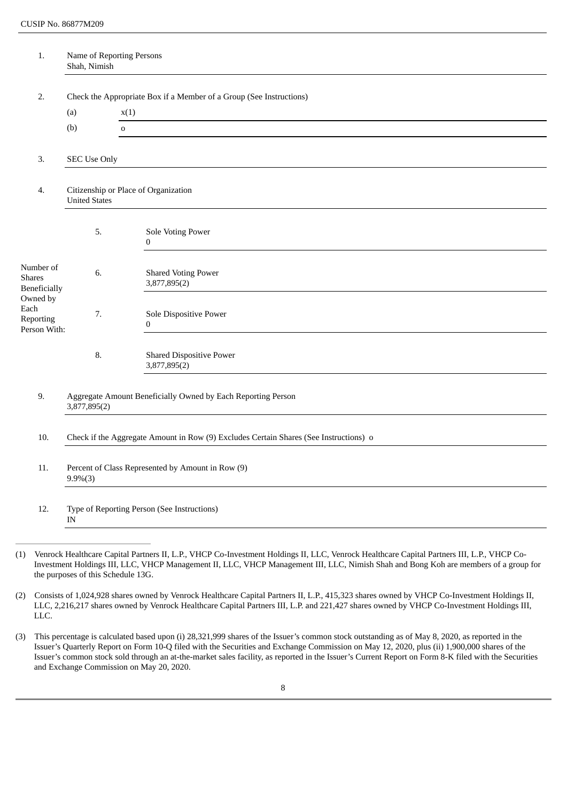| 1.                                                                 | Name of Reporting Persons<br>Shah, Nimish                                             |                                                                             |  |
|--------------------------------------------------------------------|---------------------------------------------------------------------------------------|-----------------------------------------------------------------------------|--|
|                                                                    |                                                                                       |                                                                             |  |
| 2.                                                                 |                                                                                       | Check the Appropriate Box if a Member of a Group (See Instructions)<br>x(1) |  |
|                                                                    | (a)<br>(b)                                                                            | $\mathbf 0$                                                                 |  |
|                                                                    |                                                                                       |                                                                             |  |
| 3.                                                                 | <b>SEC Use Only</b>                                                                   |                                                                             |  |
| Citizenship or Place of Organization<br>4.<br><b>United States</b> |                                                                                       |                                                                             |  |
|                                                                    | 5.                                                                                    | Sole Voting Power<br>$\bf{0}$                                               |  |
| Number of<br><b>Shares</b><br><b>Beneficially</b>                  | 6.                                                                                    | <b>Shared Voting Power</b><br>3,877,895(2)                                  |  |
| Owned by<br>Each<br>Reporting<br>Person With:                      | 7.                                                                                    | Sole Dispositive Power<br>$\bf{0}$                                          |  |
|                                                                    | 8.                                                                                    | <b>Shared Dispositive Power</b><br>3,877,895(2)                             |  |
| 9.                                                                 | Aggregate Amount Beneficially Owned by Each Reporting Person<br>3,877,895(2)          |                                                                             |  |
| 10.                                                                | Check if the Aggregate Amount in Row (9) Excludes Certain Shares (See Instructions) o |                                                                             |  |
| 11.                                                                | Percent of Class Represented by Amount in Row (9)<br>$9.9\%(3)$                       |                                                                             |  |
| 12.                                                                | $\ensuremath{\text{IN}}$                                                              | Type of Reporting Person (See Instructions)                                 |  |
|                                                                    |                                                                                       |                                                                             |  |

(1) Venrock Healthcare Capital Partners II, L.P., VHCP Co-Investment Holdings II, LLC, Venrock Healthcare Capital Partners III, L.P., VHCP Co-Investment Holdings III, LLC, VHCP Management II, LLC, VHCP Management III, LLC, Nimish Shah and Bong Koh are members of a group for the purposes of this Schedule 13G.

(2) Consists of 1,024,928 shares owned by Venrock Healthcare Capital Partners II, L.P., 415,323 shares owned by VHCP Co-Investment Holdings II, LLC, 2,216,217 shares owned by Venrock Healthcare Capital Partners III, L.P. and 221,427 shares owned by VHCP Co-Investment Holdings III, LLC.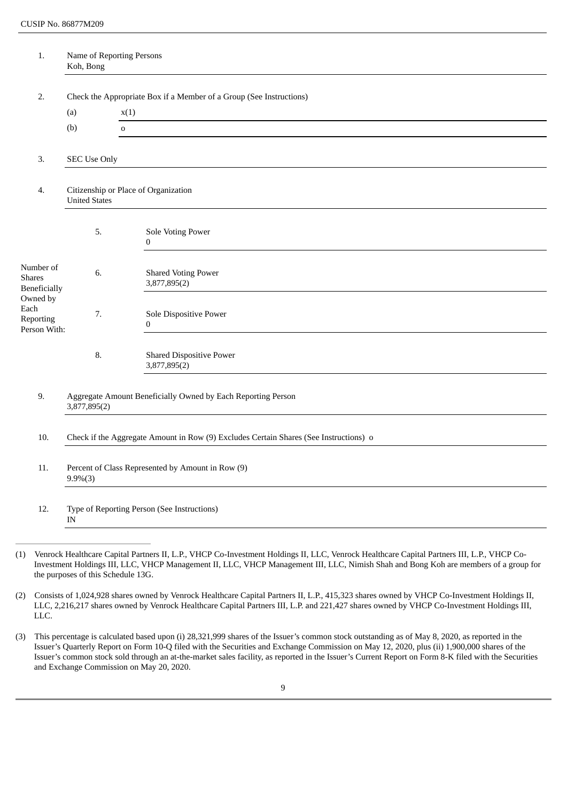| 1.                                                | Name of Reporting Persons<br>Koh, Bong                                                |                                                                     |  |  |
|---------------------------------------------------|---------------------------------------------------------------------------------------|---------------------------------------------------------------------|--|--|
|                                                   |                                                                                       |                                                                     |  |  |
| 2.                                                |                                                                                       | Check the Appropriate Box if a Member of a Group (See Instructions) |  |  |
|                                                   | (a)<br>(b)                                                                            | x(1)<br>$\mathbf 0$                                                 |  |  |
|                                                   |                                                                                       |                                                                     |  |  |
| 3.                                                | <b>SEC Use Only</b>                                                                   |                                                                     |  |  |
| 4.                                                | Citizenship or Place of Organization<br><b>United States</b>                          |                                                                     |  |  |
|                                                   | 5.                                                                                    | Sole Voting Power<br>$\boldsymbol{0}$                               |  |  |
| Number of<br><b>Shares</b><br><b>Beneficially</b> | 6.                                                                                    | <b>Shared Voting Power</b><br>3,877,895(2)                          |  |  |
| Owned by<br>Each<br>Reporting<br>Person With:     | 7.                                                                                    | Sole Dispositive Power<br>$\bf{0}$                                  |  |  |
|                                                   | 8.                                                                                    | <b>Shared Dispositive Power</b><br>3,877,895(2)                     |  |  |
| 9.                                                | 3,877,895(2)                                                                          | Aggregate Amount Beneficially Owned by Each Reporting Person        |  |  |
| 10.                                               | Check if the Aggregate Amount in Row (9) Excludes Certain Shares (See Instructions) o |                                                                     |  |  |
| 11.                                               | Percent of Class Represented by Amount in Row (9)<br>$9.9\%(3)$                       |                                                                     |  |  |
| 12.                                               | $\ensuremath{\text{IN}}$                                                              | Type of Reporting Person (See Instructions)                         |  |  |
|                                                   |                                                                                       |                                                                     |  |  |

(1) Venrock Healthcare Capital Partners II, L.P., VHCP Co-Investment Holdings II, LLC, Venrock Healthcare Capital Partners III, L.P., VHCP Co-Investment Holdings III, LLC, VHCP Management II, LLC, VHCP Management III, LLC, Nimish Shah and Bong Koh are members of a group for the purposes of this Schedule 13G.

(2) Consists of 1,024,928 shares owned by Venrock Healthcare Capital Partners II, L.P., 415,323 shares owned by VHCP Co-Investment Holdings II, LLC, 2,216,217 shares owned by Venrock Healthcare Capital Partners III, L.P. and 221,427 shares owned by VHCP Co-Investment Holdings III, LLC.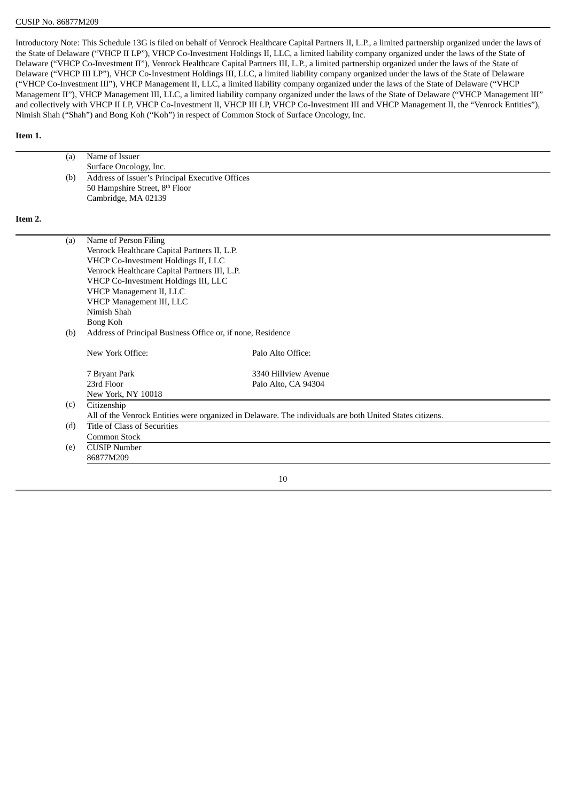Introductory Note: This Schedule 13G is filed on behalf of Venrock Healthcare Capital Partners II, L.P., a limited partnership organized under the laws of the State of Delaware ("VHCP II LP"), VHCP Co-Investment Holdings II, LLC, a limited liability company organized under the laws of the State of Delaware ("VHCP Co-Investment II"), Venrock Healthcare Capital Partners III, L.P., a limited partnership organized under the laws of the State of Delaware ("VHCP III LP"), VHCP Co-Investment Holdings III, LLC, a limited liability company organized under the laws of the State of Delaware ("VHCP Co-Investment III"), VHCP Management II, LLC, a limited liability company organized under the laws of the State of Delaware ("VHCP Management II"), VHCP Management III, LLC, a limited liability company organized under the laws of the State of Delaware ("VHCP Management III" and collectively with VHCP II LP, VHCP Co-Investment II, VHCP III LP, VHCP Co-Investment III and VHCP Management II, the "Venrock Entities"), Nimish Shah ("Shah") and Bong Koh ("Koh") in respect of Common Stock of Surface Oncology, Inc.

## **Item 1.**

|         | (a) | Name of Issuer                                              |                                                                                                          |
|---------|-----|-------------------------------------------------------------|----------------------------------------------------------------------------------------------------------|
|         |     | Surface Oncology, Inc.                                      |                                                                                                          |
|         | (b) | Address of Issuer's Principal Executive Offices             |                                                                                                          |
|         |     | 50 Hampshire Street, 8th Floor                              |                                                                                                          |
|         |     | Cambridge, MA 02139                                         |                                                                                                          |
| Item 2. |     |                                                             |                                                                                                          |
|         | (a) | Name of Person Filing                                       |                                                                                                          |
|         |     | Venrock Healthcare Capital Partners II, L.P.                |                                                                                                          |
|         |     | VHCP Co-Investment Holdings II, LLC                         |                                                                                                          |
|         |     | Venrock Healthcare Capital Partners III, L.P.               |                                                                                                          |
|         |     | VHCP Co-Investment Holdings III, LLC                        |                                                                                                          |
|         |     | VHCP Management II, LLC                                     |                                                                                                          |
|         |     | VHCP Management III, LLC                                    |                                                                                                          |
|         |     | Nimish Shah                                                 |                                                                                                          |
|         |     | Bong Koh                                                    |                                                                                                          |
|         | (b) | Address of Principal Business Office or, if none, Residence |                                                                                                          |
|         |     | New York Office:                                            | Palo Alto Office:                                                                                        |
|         |     | 7 Bryant Park                                               | 3340 Hillview Avenue                                                                                     |
|         |     | 23rd Floor                                                  | Palo Alto, CA 94304                                                                                      |
|         |     | New York, NY 10018                                          |                                                                                                          |
|         | (c) | Citizenship                                                 |                                                                                                          |
|         |     |                                                             | All of the Venrock Entities were organized in Delaware. The individuals are both United States citizens. |
|         | (d) | <b>Title of Class of Securities</b>                         |                                                                                                          |
|         |     | Common Stock                                                |                                                                                                          |
|         | (e) | <b>CUSIP Number</b>                                         |                                                                                                          |
|         |     | 86877M209                                                   |                                                                                                          |
|         |     |                                                             | 10                                                                                                       |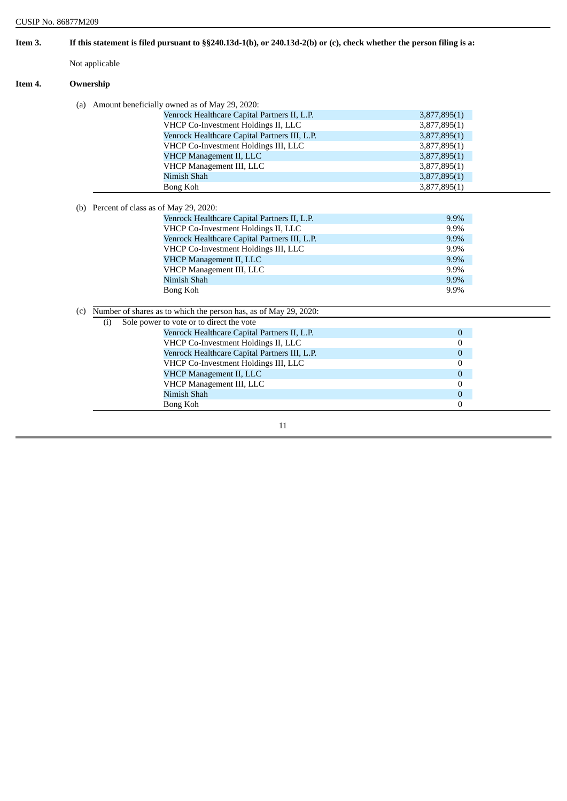| Item 3. |                | If this statement is filed pursuant to $\S$ 240.13d-1(b), or 240.13d-2(b) or (c), check whether the person filing is a: |                  |
|---------|----------------|-------------------------------------------------------------------------------------------------------------------------|------------------|
|         | Not applicable |                                                                                                                         |                  |
| Item 4. | Ownership      |                                                                                                                         |                  |
|         |                | (a) Amount beneficially owned as of May 29, 2020:                                                                       |                  |
|         |                | Venrock Healthcare Capital Partners II, L.P.                                                                            | 3,877,895(1)     |
|         |                | VHCP Co-Investment Holdings II, LLC                                                                                     | 3,877,895(1)     |
|         |                | Venrock Healthcare Capital Partners III, L.P.                                                                           | 3,877,895(1)     |
|         |                | VHCP Co-Investment Holdings III, LLC                                                                                    | 3,877,895(1)     |
|         |                | <b>VHCP Management II, LLC</b>                                                                                          | 3,877,895(1)     |
|         |                | VHCP Management III, LLC                                                                                                | 3,877,895(1)     |
|         |                | Nimish Shah                                                                                                             | 3,877,895(1)     |
|         |                | Bong Koh                                                                                                                | 3,877,895(1)     |
|         |                | (b) Percent of class as of May 29, 2020:                                                                                |                  |
|         |                | Venrock Healthcare Capital Partners II, L.P.                                                                            | 9.9%             |
|         |                | VHCP Co-Investment Holdings II, LLC                                                                                     | 9.9%             |
|         |                | Venrock Healthcare Capital Partners III, L.P.                                                                           | 9.9%             |
|         |                | VHCP Co-Investment Holdings III, LLC                                                                                    | 9.9%             |
|         |                | <b>VHCP Management II, LLC</b>                                                                                          | 9.9%             |
|         |                | VHCP Management III, LLC                                                                                                | 9.9%             |
|         |                | Nimish Shah                                                                                                             | 9.9%             |
|         |                | Bong Koh                                                                                                                | 9.9%             |
|         | (c)            | Number of shares as to which the person has, as of May 29, 2020:                                                        |                  |
|         | (i)            | Sole power to vote or to direct the vote                                                                                |                  |
|         |                | Venrock Healthcare Capital Partners II, L.P.                                                                            | $\boldsymbol{0}$ |
|         |                | VHCP Co-Investment Holdings II, LLC                                                                                     | $\mathbf{0}$     |
|         |                | Venrock Healthcare Capital Partners III, L.P.                                                                           | $\boldsymbol{0}$ |
|         |                | VHCP Co-Investment Holdings III, LLC                                                                                    | $\mathbf{0}$     |
|         |                | <b>VHCP Management II, LLC</b>                                                                                          | $\mathbf{0}$     |
|         |                | VHCP Management III, LLC                                                                                                | $\mathbf{0}$     |
|         |                | Nimish Shah                                                                                                             | $\boldsymbol{0}$ |
|         |                | Bong Koh                                                                                                                | $\mathbf{0}$     |
|         |                | 11                                                                                                                      |                  |

L,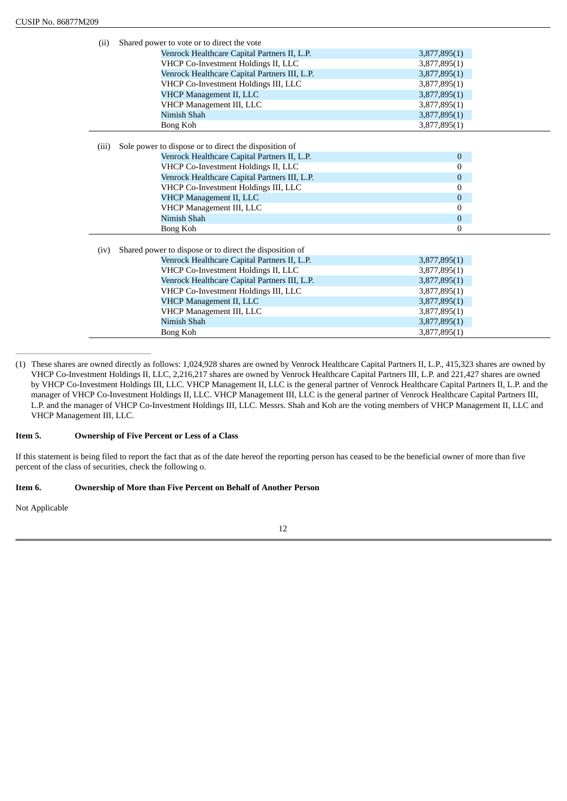| (ii)  | Shared power to vote or to direct the vote              |              |
|-------|---------------------------------------------------------|--------------|
|       | Venrock Healthcare Capital Partners II, L.P.            | 3,877,895(1) |
|       | VHCP Co-Investment Holdings II, LLC                     | 3,877,895(1) |
|       | Venrock Healthcare Capital Partners III, L.P.           | 3,877,895(1) |
|       | VHCP Co-Investment Holdings III, LLC                    | 3,877,895(1) |
|       | VHCP Management II, LLC                                 | 3,877,895(1) |
|       | VHCP Management III, LLC                                | 3,877,895(1) |
|       | Nimish Shah                                             | 3,877,895(1) |
|       | Bong Koh                                                | 3,877,895(1) |
|       |                                                         |              |
| (iii) | Sole power to dispose or to direct the disposition of   |              |
|       | Venrock Healthcare Capital Partners II, L.P.            | $\mathbf{0}$ |
|       | VHCP Co-Investment Holdings II, LLC                     | 0            |
|       | Venrock Healthcare Capital Partners III, L.P.           | $\mathbf{0}$ |
|       | VHCP Co-Investment Holdings III, LLC                    | 0            |
|       | VHCP Management II, LLC                                 | $\mathbf{0}$ |
|       | VHCP Management III, LLC                                | 0            |
|       | Nimish Shah                                             | $\mathbf{0}$ |
|       | Bong Koh                                                | 0            |
|       |                                                         |              |
| (iv)  | Shared power to dispose or to direct the disposition of |              |
|       | Venrock Healthcare Capital Partners II, L.P.            | 3,877,895(1) |
|       | VHCP Co-Investment Holdings II, LLC                     | 3,877,895(1) |
|       | Venrock Healthcare Capital Partners III, L.P.           | 3,877,895(1) |
|       | VHCP Co-Investment Holdings III, LLC                    | 3,877,895(1) |
|       | VHCP Management II, LLC                                 | 3,877,895(1) |
|       | VHCP Management III, LLC                                | 3,877,895(1) |
|       | Nimish Shah                                             | 3,877,895(1) |
|       | Bong Koh                                                | 3,877,895(1) |

<sup>(1)</sup> These shares are owned directly as follows: 1,024,928 shares are owned by Venrock Healthcare Capital Partners II, L.P., 415,323 shares are owned by VHCP Co-Investment Holdings II, LLC, 2,216,217 shares are owned by Venrock Healthcare Capital Partners III, L.P. and 221,427 shares are owned by VHCP Co-Investment Holdings III, LLC. VHCP Management II, LLC is the general partner of Venrock Healthcare Capital Partners II, L.P. and the manager of VHCP Co-Investment Holdings II, LLC. VHCP Management III, LLC is the general partner of Venrock Healthcare Capital Partners III, L.P. and the manager of VHCP Co-Investment Holdings III, LLC. Messrs. Shah and Koh are the voting members of VHCP Management II, LLC and VHCP Management III, LLC.

## **Item 5. Ownership of Five Percent or Less of a Class**

If this statement is being filed to report the fact that as of the date hereof the reporting person has ceased to be the beneficial owner of more than five percent of the class of securities, check the following o.

## **Item 6. Ownership of More than Five Percent on Behalf of Another Person**

Not Applicable

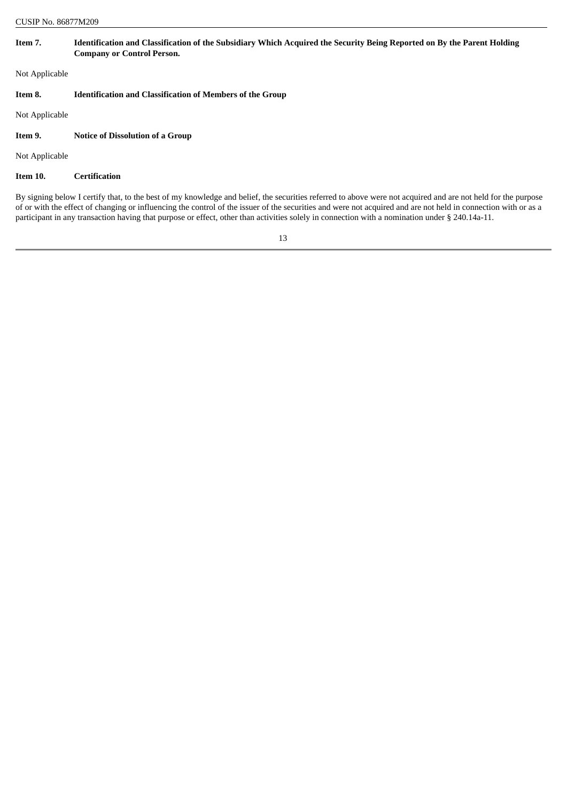| <b>CUSIP No. 86877M209</b> |                                                                                                                                                              |  |
|----------------------------|--------------------------------------------------------------------------------------------------------------------------------------------------------------|--|
| Item 7.                    | Identification and Classification of the Subsidiary Which Acquired the Security Being Reported on By the Parent Holding<br><b>Company or Control Person.</b> |  |
| Not Applicable             |                                                                                                                                                              |  |
| Item 8.                    | <b>Identification and Classification of Members of the Group</b>                                                                                             |  |
| Not Applicable             |                                                                                                                                                              |  |
| Item 9.                    | <b>Notice of Dissolution of a Group</b>                                                                                                                      |  |
| Not Applicable             |                                                                                                                                                              |  |
| Item 10.                   | <b>Certification</b>                                                                                                                                         |  |
|                            |                                                                                                                                                              |  |

By signing below I certify that, to the best of my knowledge and belief, the securities referred to above were not acquired and are not held for the purpose of or with the effect of changing or influencing the control of the issuer of the securities and were not acquired and are not held in connection with or as a participant in any transaction having that purpose or effect, other than activities solely in connection with a nomination under § 240.14a-11.

13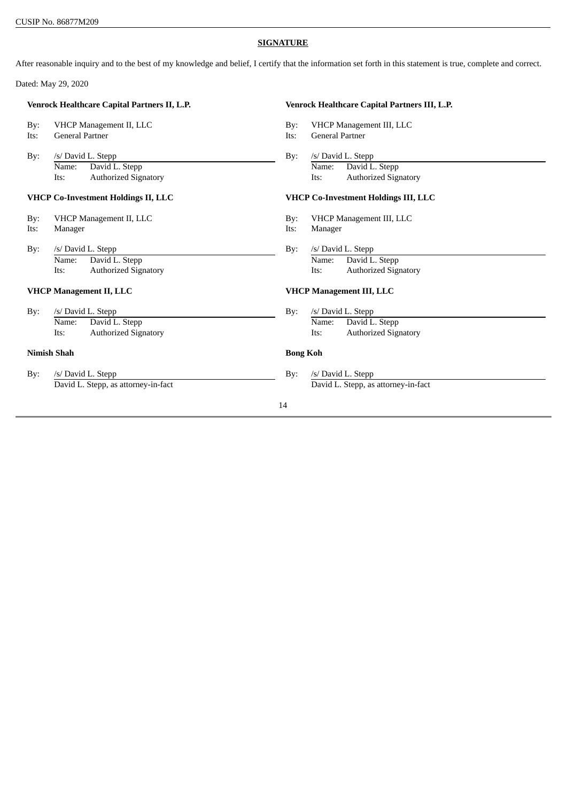## **SIGNATURE**

After reasonable inquiry and to the best of my knowledge and belief, I certify that the information set forth in this statement is true, complete and correct.

Dated: May 29, 2020

| Venrock Healthcare Capital Partners II, L.P. |                                     |                                      | Venrock Healthcare Capital Partners III, L.P. |  |
|----------------------------------------------|-------------------------------------|--------------------------------------|-----------------------------------------------|--|
| By:                                          | VHCP Management II, LLC             | $\rm\,By:$                           | VHCP Management III, LLC                      |  |
| Its:                                         | <b>General Partner</b>              | Its:                                 | <b>General Partner</b>                        |  |
| By:                                          | /s/ David L. Stepp                  | By:                                  | /s/ David L. Stepp                            |  |
|                                              | David L. Stepp<br>Name:             |                                      | David L. Stepp<br>Name:                       |  |
|                                              | <b>Authorized Signatory</b><br>Its: |                                      | <b>Authorized Signatory</b><br>Its:           |  |
| <b>VHCP Co-Investment Holdings II, LLC</b>   |                                     | VHCP Co-Investment Holdings III, LLC |                                               |  |
| By:                                          | VHCP Management II, LLC             | By:                                  | VHCP Management III, LLC                      |  |
| Its:                                         | Manager                             | Its:                                 | Manager                                       |  |
| $\rm\,By:$                                   | /s/ David L. Stepp                  | By:                                  | /s/ David L. Stepp                            |  |
|                                              | David L. Stepp<br>Name:             |                                      | David L. Stepp<br>Name:                       |  |
|                                              | <b>Authorized Signatory</b><br>Its: |                                      | <b>Authorized Signatory</b><br>Its:           |  |
| <b>VHCP Management II, LLC</b>               |                                     |                                      | <b>VHCP Management III, LLC</b>               |  |
| By:                                          | /s/ David L. Stepp                  | $\rm\,By:$                           | /s/ David L. Stepp                            |  |
|                                              | David L. Stepp<br>Name:             |                                      | David L. Stepp<br>Name:                       |  |
|                                              | <b>Authorized Signatory</b><br>Its: |                                      | <b>Authorized Signatory</b><br>Its:           |  |
| <b>Nimish Shah</b>                           |                                     | <b>Bong Koh</b>                      |                                               |  |
| By:                                          | /s/ David L. Stepp                  | By:                                  | /s/ David L. Stepp                            |  |
|                                              | David L. Stepp, as attorney-in-fact |                                      | David L. Stepp, as attorney-in-fact           |  |
|                                              |                                     | 14                                   |                                               |  |
|                                              |                                     |                                      |                                               |  |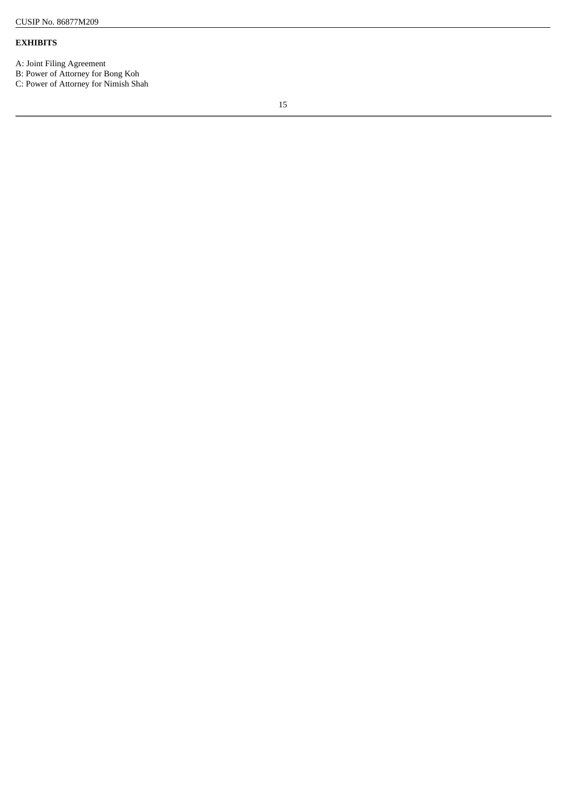## **EXHIBITS**

A: Joint Filing Agreement

B: Power of Attorney for Bong Koh

C: Power of Attorney for Nimish Shah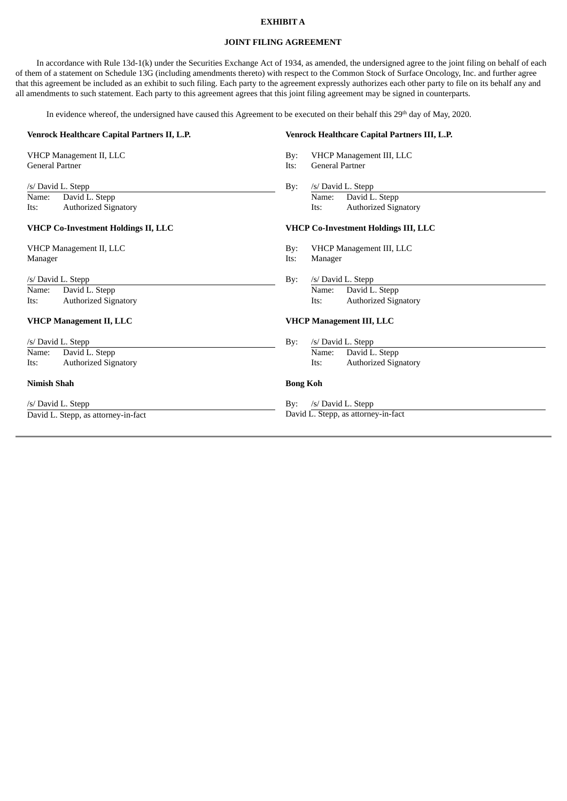## **EXHIBIT A**

## **JOINT FILING AGREEMENT**

In accordance with Rule 13d-1(k) under the Securities Exchange Act of 1934, as amended, the undersigned agree to the joint filing on behalf of each of them of a statement on Schedule 13G (including amendments thereto) with respect to the Common Stock of Surface Oncology, Inc. and further agree that this agreement be included as an exhibit to such filing. Each party to the agreement expressly authorizes each other party to file on its behalf any and all amendments to such statement. Each party to this agreement agrees that this joint filing agreement may be signed in counterparts.

In evidence whereof, the undersigned have caused this Agreement to be executed on their behalf this 29<sup>th</sup> day of May, 2020.

| Venrock Healthcare Capital Partners II, L.P.                                                                                       | Venrock Healthcare Capital Partners III, L.P.                                                                                              |  |
|------------------------------------------------------------------------------------------------------------------------------------|--------------------------------------------------------------------------------------------------------------------------------------------|--|
| VHCP Management II, LLC<br><b>General Partner</b>                                                                                  | VHCP Management III, LLC<br>$\rm\,By:$<br><b>General Partner</b><br>Its:                                                                   |  |
| /s/ David L. Stepp<br>David L. Stepp<br>Name:<br><b>Authorized Signatory</b><br>Its:<br><b>VHCP Co-Investment Holdings II, LLC</b> | /s/ David L. Stepp<br>By:<br>David L. Stepp<br>Name:<br><b>Authorized Signatory</b><br>Its:<br><b>VHCP Co-Investment Holdings III, LLC</b> |  |
| VHCP Management II, LLC<br>Manager                                                                                                 | VHCP Management III, LLC<br>$\rm\,By:$<br>Its:<br>Manager                                                                                  |  |
| /s/ David L. Stepp<br>David L. Stepp<br>Name:<br><b>Authorized Signatory</b><br>Its:                                               | /s/ David L. Stepp<br>By:<br>David L. Stepp<br>Name:<br><b>Authorized Signatory</b><br>Its:                                                |  |
| <b>VHCP Management II, LLC</b>                                                                                                     | <b>VHCP Management III, LLC</b>                                                                                                            |  |
| /s/ David L. Stepp<br>David L. Stepp<br>Name:<br><b>Authorized Signatory</b><br>Its:                                               | /s/ David L. Stepp<br>By:<br>David L. Stepp<br>Name:<br><b>Authorized Signatory</b><br>Its:                                                |  |
| <b>Nimish Shah</b>                                                                                                                 | <b>Bong Koh</b>                                                                                                                            |  |
| /s/ David L. Stepp<br>David L. Stepp, as attorney-in-fact                                                                          | /s/ David L. Stepp<br>By:<br>David L. Stepp, as attorney-in-fact                                                                           |  |

 $\sim$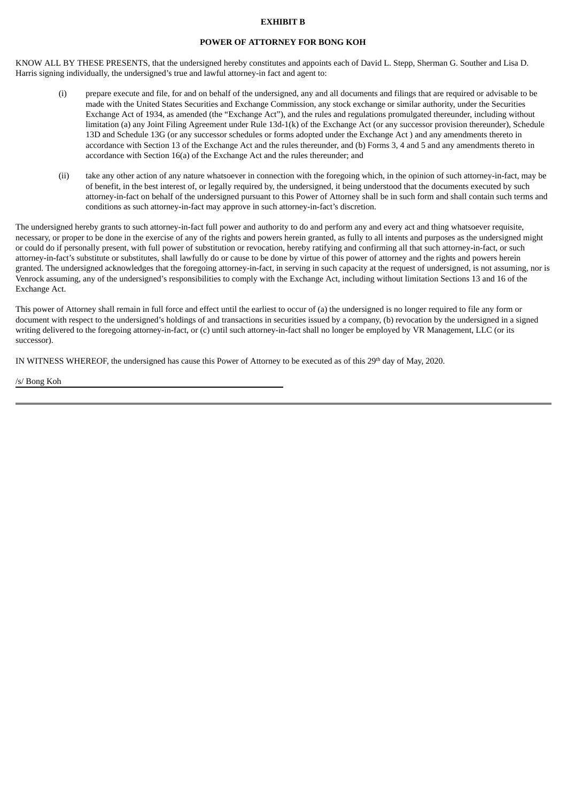### **EXHIBIT B**

### **POWER OF ATTORNEY FOR BONG KOH**

KNOW ALL BY THESE PRESENTS, that the undersigned hereby constitutes and appoints each of David L. Stepp, Sherman G. Souther and Lisa D. Harris signing individually, the undersigned's true and lawful attorney-in fact and agent to:

- (i) prepare execute and file, for and on behalf of the undersigned, any and all documents and filings that are required or advisable to be made with the United States Securities and Exchange Commission, any stock exchange or similar authority, under the Securities Exchange Act of 1934, as amended (the "Exchange Act"), and the rules and regulations promulgated thereunder, including without limitation (a) any Joint Filing Agreement under Rule 13d-1(k) of the Exchange Act (or any successor provision thereunder), Schedule 13D and Schedule 13G (or any successor schedules or forms adopted under the Exchange Act ) and any amendments thereto in accordance with Section 13 of the Exchange Act and the rules thereunder, and (b) Forms 3, 4 and 5 and any amendments thereto in accordance with Section 16(a) of the Exchange Act and the rules thereunder; and
- (ii) take any other action of any nature whatsoever in connection with the foregoing which, in the opinion of such attorney-in-fact, may be of benefit, in the best interest of, or legally required by, the undersigned, it being understood that the documents executed by such attorney-in-fact on behalf of the undersigned pursuant to this Power of Attorney shall be in such form and shall contain such terms and conditions as such attorney-in-fact may approve in such attorney-in-fact's discretion.

The undersigned hereby grants to such attorney-in-fact full power and authority to do and perform any and every act and thing whatsoever requisite, necessary, or proper to be done in the exercise of any of the rights and powers herein granted, as fully to all intents and purposes as the undersigned might or could do if personally present, with full power of substitution or revocation, hereby ratifying and confirming all that such attorney-in-fact, or such attorney-in-fact's substitute or substitutes, shall lawfully do or cause to be done by virtue of this power of attorney and the rights and powers herein granted. The undersigned acknowledges that the foregoing attorney-in-fact, in serving in such capacity at the request of undersigned, is not assuming, nor is Venrock assuming, any of the undersigned's responsibilities to comply with the Exchange Act, including without limitation Sections 13 and 16 of the Exchange Act.

This power of Attorney shall remain in full force and effect until the earliest to occur of (a) the undersigned is no longer required to file any form or document with respect to the undersigned's holdings of and transactions in securities issued by a company, (b) revocation by the undersigned in a signed writing delivered to the foregoing attorney-in-fact, or (c) until such attorney-in-fact shall no longer be employed by VR Management, LLC (or its successor).

IN WITNESS WHEREOF, the undersigned has cause this Power of Attorney to be executed as of this  $29<sup>th</sup>$  day of May, 2020.

/s/ Bong Koh